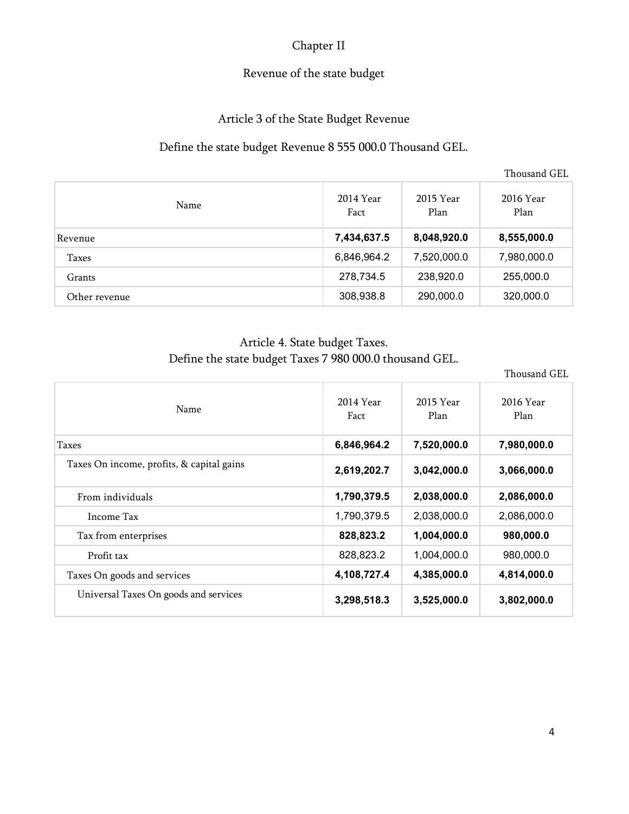# Chapter II

## Revenue of the state budget

# Article 3 of the State Budget Revenue

## Define the state budget Revenue 8 555 000.0 Thousand GEL.

Thousand GEL

| Name          | 2014 Year<br>Fact | 2015 Year<br>Plan | 2016 Year<br>Plan |
|---------------|-------------------|-------------------|-------------------|
| Revenue       | 7,434,637.5       | 8,048,920.0       | 8,555,000.0       |
| Taxes         | 6,846,964.2       | 7,520,000.0       | 7,980,000.0       |
| Grants        | 278,734.5         | 238,920.0         | 255,000.0         |
| Other revenue | 308,938.8         | 290,000.0         | 320,000.0         |

# Article 4. State budget Taxes. Define the state budget Taxes 7 980 000.0 thousand GEL.

Thousand GEL

| Name                                      | 2014 Year   | 2015 Year   | 2016 Year<br>Plan |
|-------------------------------------------|-------------|-------------|-------------------|
|                                           | Fact        | Plan        |                   |
| Taxes                                     | 6,846,964.2 | 7,520,000.0 | 7,980,000.0       |
| Taxes On income, profits, & capital gains | 2,619,202.7 | 3,042,000.0 | 3,066,000.0       |
| From individuals                          | 1,790,379.5 | 2,038,000.0 | 2,086,000.0       |
| Income Tax                                | 1,790,379.5 | 2,038,000.0 | 2,086,000.0       |
| Tax from enterprises                      | 828,823.2   | 1,004,000.0 | 980,000.0         |
| Profit tax                                | 828,823.2   | 1,004,000.0 | 980,000.0         |
| Taxes On goods and services               | 4,108,727.4 | 4,385,000.0 | 4,814,000.0       |
| Universal Taxes On goods and services     | 3,298,518.3 | 3,525,000.0 | 3,802,000.0       |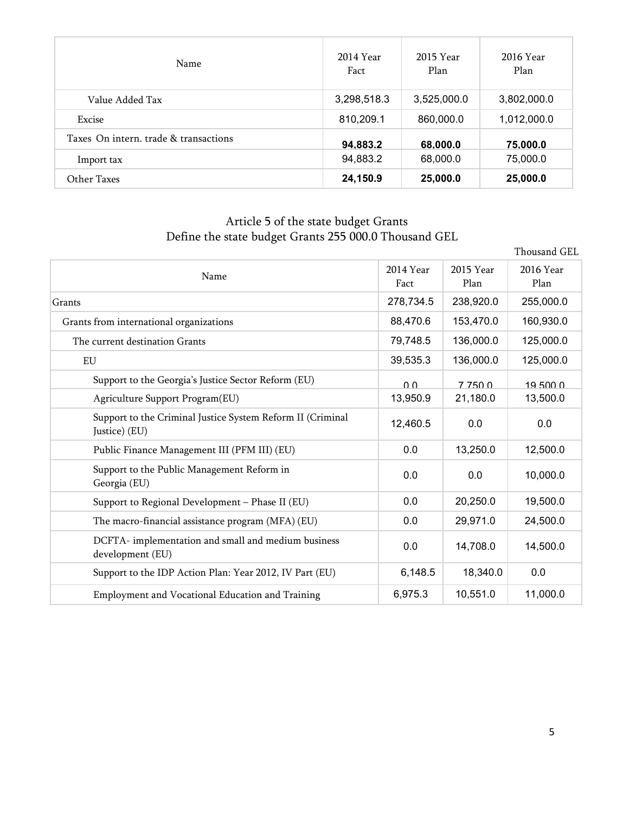| Name                                  | 2014 Year<br>Fact | 2015 Year<br>Plan | 2016 Year<br>Plan |
|---------------------------------------|-------------------|-------------------|-------------------|
| Value Added Tax                       | 3,298,518.3       | 3,525,000.0       | 3,802,000.0       |
| Excise                                | 810,209.1         | 860,000.0         | 1,012,000.0       |
| Taxes On intern, trade & transactions | 94,883.2          | 68,000.0          | 75,000.0          |
| Import tax                            | 94,883.2          | 68,000.0          | 75,000.0          |
| Other Taxes                           | 24,150.9          | 25,000.0          | 25,000.0          |

#### Article 5 of the state budget Grants Define the state budget Grants 255 000.0 Thousand GEL

|                                                                             |                   |                   | Thousand GEL      |
|-----------------------------------------------------------------------------|-------------------|-------------------|-------------------|
| Name                                                                        | 2014 Year<br>Fact | 2015 Year<br>Plan | 2016 Year<br>Plan |
| Grants                                                                      | 278,734.5         | 238,920.0         | 255,000.0         |
| Grants from international organizations                                     | 88,470.6          | 153,470.0         | 160,930.0         |
| The current destination Grants                                              | 79,748.5          | 136,000.0         | 125,000.0         |
| EU                                                                          | 39,535.3          | 136,000.0         | 125,000.0         |
| Support to the Georgia's Justice Sector Reform (EU)                         | 0 <sub>0</sub>    | 7 750 0           | 19,500,0          |
| Agriculture Support Program(EU)                                             | 13,950.9          | 21,180.0          | 13,500.0          |
| Support to the Criminal Justice System Reform II (Criminal<br>Justice) (EU) | 12,460.5          | 0.0               | 0.0               |
| Public Finance Management III (PFM III) (EU)                                | 0.0               | 13,250.0          | 12,500.0          |
| Support to the Public Management Reform in<br>Georgia (EU)                  | 0.0               | 0.0               | 10,000.0          |
| Support to Regional Development - Phase II (EU)                             | 0.0               | 20,250.0          | 19,500.0          |
| The macro-financial assistance program (MFA) (EU)                           | 0.0               | 29,971.0          | 24,500.0          |
| DCFTA- implementation and small and medium business<br>development (EU)     | 0.0               | 14,708.0          | 14,500.0          |
| Support to the IDP Action Plan: Year 2012, IV Part (EU)                     | 6,148.5           | 18,340.0          | 0.0               |
| Employment and Vocational Education and Training                            | 6,975.3           | 10,551.0          | 11,000.0          |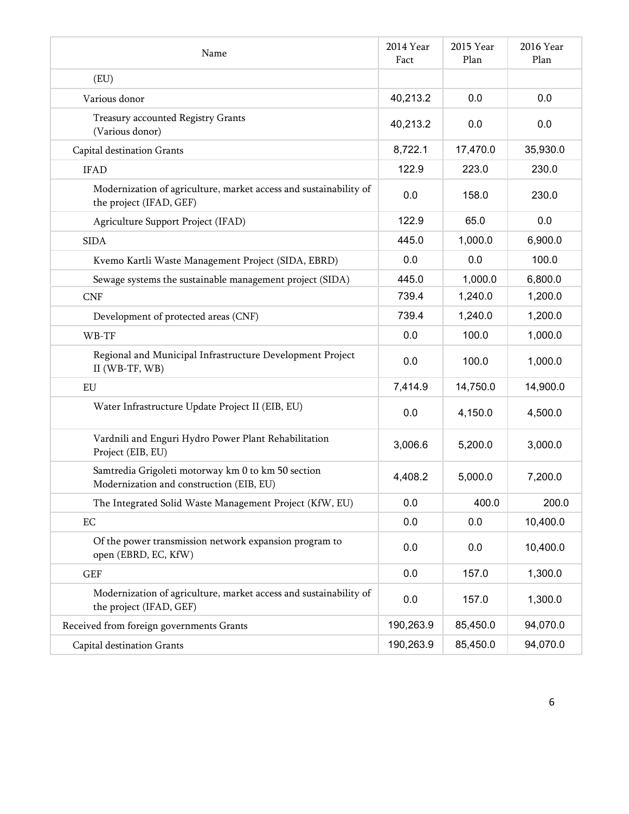| Name                                                                                           | 2014 Year<br>Fact | 2015 Year<br>Plan | 2016 Year<br>Plan |
|------------------------------------------------------------------------------------------------|-------------------|-------------------|-------------------|
| (EU)                                                                                           |                   |                   |                   |
| Various donor                                                                                  | 40,213.2          | 0.0               | 0.0               |
| Treasury accounted Registry Grants<br>(Various donor)                                          | 40,213.2          | 0.0               | 0.0               |
| Capital destination Grants                                                                     | 8,722.1           | 17,470.0          | 35,930.0          |
| <b>IFAD</b>                                                                                    | 122.9             | 223.0             | 230.0             |
| Modernization of agriculture, market access and sustainability of<br>the project (IFAD, GEF)   | 0.0               | 158.0             | 230.0             |
| Agriculture Support Project (IFAD)                                                             | 122.9             | 65.0              | 0.0               |
| <b>SIDA</b>                                                                                    | 445.0             | 1,000.0           | 6,900.0           |
| Kvemo Kartli Waste Management Project (SIDA, EBRD)                                             | 0.0               | 0.0               | 100.0             |
| Sewage systems the sustainable management project (SIDA)                                       | 445.0             | 1,000.0           | 6,800.0           |
| <b>CNF</b>                                                                                     | 739.4             | 1,240.0           | 1,200.0           |
| Development of protected areas (CNF)                                                           | 739.4             | 1,240.0           | 1,200.0           |
| WB-TF                                                                                          | 0.0               | 100.0             | 1,000.0           |
| Regional and Municipal Infrastructure Development Project<br>II (WB-TF, WB)                    | 0.0               | 100.0             | 1,000.0           |
| EU                                                                                             | 7,414.9           | 14,750.0          | 14,900.0          |
| Water Infrastructure Update Project II (EIB, EU)                                               | 0.0               | 4,150.0           | 4,500.0           |
| Vardnili and Enguri Hydro Power Plant Rehabilitation<br>Project (EIB, EU)                      | 3,006.6           | 5,200.0           | 3,000.0           |
| Samtredia Grigoleti motorway km 0 to km 50 section<br>Modernization and construction (EIB, EU) | 4,408.2           | 5,000.0           | 7,200.0           |
| The Integrated Solid Waste Management Project (KfW, EU)                                        | 0.0               | 400.0             | 200.0             |
| EC                                                                                             | 0.0               | 0.0               | 10,400.0          |
| Of the power transmission network expansion program to<br>open (EBRD, EC, KfW)                 | $0.0\,$           | 0.0               | 10,400.0          |
| GEF                                                                                            | 0.0               | 157.0             | 1,300.0           |
| Modernization of agriculture, market access and sustainability of<br>the project (IFAD, GEF)   | 0.0               | 157.0             | 1,300.0           |
| Received from foreign governments Grants                                                       | 190,263.9         | 85,450.0          | 94,070.0          |
| Capital destination Grants                                                                     | 190,263.9         | 85,450.0          | 94,070.0          |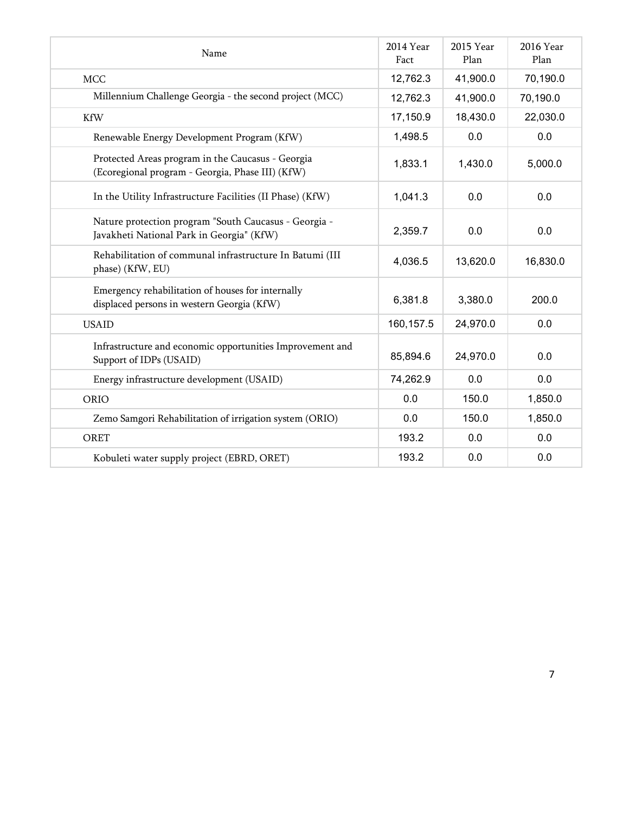| Name                                                                                                  | 2014 Year<br>Fact | 2015 Year<br>Plan | 2016 Year<br>Plan |
|-------------------------------------------------------------------------------------------------------|-------------------|-------------------|-------------------|
| <b>MCC</b>                                                                                            | 12,762.3          | 41,900.0          | 70,190.0          |
| Millennium Challenge Georgia - the second project (MCC)                                               | 12,762.3          | 41,900.0          | 70,190.0          |
| <b>KfW</b>                                                                                            | 17,150.9          | 18,430.0          | 22,030.0          |
| Renewable Energy Development Program (KfW)                                                            | 1,498.5           | 0.0               | 0.0               |
| Protected Areas program in the Caucasus - Georgia<br>(Ecoregional program - Georgia, Phase III) (KfW) | 1,833.1           | 1,430.0           | 5,000.0           |
| In the Utility Infrastructure Facilities (II Phase) (KfW)                                             | 1,041.3           | 0.0               | 0.0               |
| Nature protection program "South Caucasus - Georgia -<br>Javakheti National Park in Georgia" (KfW)    | 2,359.7           | 0.0               | 0.0               |
| Rehabilitation of communal infrastructure In Batumi (III<br>phase) (KfW, EU)                          | 4,036.5           | 13,620.0          | 16,830.0          |
| Emergency rehabilitation of houses for internally<br>displaced persons in western Georgia (KfW)       | 6,381.8           | 3,380.0           | 200.0             |
| <b>USAID</b>                                                                                          | 160, 157.5        | 24,970.0          | 0.0               |
| Infrastructure and economic opportunities Improvement and<br>Support of IDPs (USAID)                  | 85,894.6          | 24,970.0          | 0.0               |
| Energy infrastructure development (USAID)                                                             | 74,262.9          | 0.0               | 0.0               |
| ORIO                                                                                                  | 0.0               | 150.0             | 1,850.0           |
| Zemo Samgori Rehabilitation of irrigation system (ORIO)                                               | 0.0               | 150.0             | 1,850.0           |
| ORET                                                                                                  | 193.2             | 0.0               | 0.0               |
| Kobuleti water supply project (EBRD, ORET)                                                            | 193.2             | 0.0               | 0.0               |